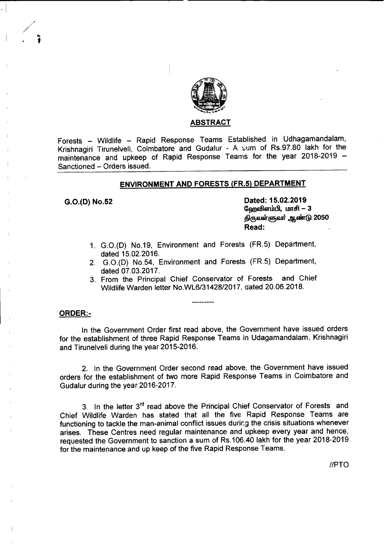

Forests - Wildlife - Rapid Response Teams Established in Udhagamandalam, Krishnagiri Tirunelveli, Coimbatore and Gudalur - A sum of Rs.97.80 lakh for the maintenance and upkeep of Rapid Response Teams for the year 2018-2019 - Sanctioned - Orders issued.

## ENVIRONMENT AND FORESTS (FR.5) DEPARTMENT

#### G.O.(D) No.52

Dated: 15.02.2019 வேறவிளம்பி, மாசி $-3$ திருவள்ளுவர் ஆண்டு 2050 Read:

- 1. G.O.(D) No.19, Environment and Forests (FR.5) Department, dated 15.02.2016.
- 2. G.O.(D) No.54, Environment and Forests (FR.5) Department, dated 07.03.2017.
- 3. From the Principal Chief Conservator of Forests and Chief Wildlife Warden letter NO.WL6/31428/2017, dated 20.06.2018.

#### ORDER:-

In the Government Order first read above, the Government have issued orders for the establishment of three Rapid Response Teams in Udagamandalam, Krishnagiri and Tirunelveli during the year 2015-2016.

2. In the Government Order second read above, the Government have issued orders for the establishment of two more Rapid Response Teams in Coimbatore and Gudalur during the year 2016-2017.

3. In the letter 3<sup>rd</sup> read above the Principal Chief Conservator of Forests and Chief Wildlife Warden has stated that all the five Rapid Response Teams are functioning to tackle the man-animal conflict issues durir.g the crisis situations whenever arises. These Centres need regular maintenance and upkeep every year and hence, requested the Government to sanction a sum of Rs.106.40 lakh for the year 2018-2019 for the maintenance and up keep of the five Rapid Response Teams.

*IIPTO*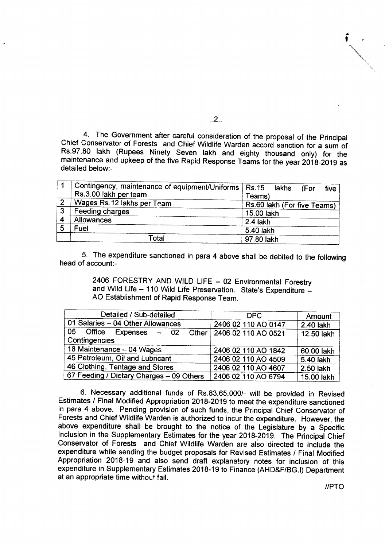4. The Government after careful consideration of the proposal of the Principal Chief Conservator of Forests and Chief Wildlife Warden accord sanction for a sum of Rs.97.80 lakh (Rupees Ninety Seven lakh and eighty thousand only) for the maintenance and upkeep of the five Rapid Response Teams for the year 2018-2019 as detailed below:-

|                | Contingency, maintenance of equipment/Uniforms   Rs.15 lakhs (For | five                        |  |
|----------------|-------------------------------------------------------------------|-----------------------------|--|
|                | Rs.3.00 lakh per team                                             | Teams)                      |  |
| $\overline{2}$ | Wages Rs.12 lakhs per Team                                        | Rs.60 lakh (For five Teams) |  |
| 3              | Feeding charges                                                   | 15.00 lakh                  |  |
|                | Allowances                                                        | $2.4$ lakh                  |  |
|                | Fuel                                                              | 5.40 lakh                   |  |
|                | Гotal                                                             | 97.80 lakh                  |  |

5. The expenditure sanctioned in para 4 above shall be debited to the following head of account-

> 2406 FORESTRY AND WILD LIFE - 02 Environmental Forestry and Wild Life - 110 Wild Life Preservation. State's Expenditure -AO Establishment of Rapid Response Team.

| Detailed / Sub-detailed                  | DPC                         | Amount     |
|------------------------------------------|-----------------------------|------------|
| 01 Salaries - 04 Other Allowances        | 2406 02 110 AO 0147         | 2.40 lakh  |
| 05 Office Expenses - 02<br>Contingencies | Other   2406 02 110 AO 0521 | 12.50 lakh |
| 18 Maintenance - 04 Wages                | 2406 02 110 AO 1842         | 60.00 lakh |
| 45 Petroleum, Oil and Lubricant          | 2406 02 110 AO 4509         | 5.40 lakh  |
| 46 Clothing, Tentage and Stores          | 2406 02 110 AO 4607         | 2.50 lakh  |
| 67 Feeding / Dietary Charges - 09 Others | 2406 02 110 AO 6794         | 15.00 lakh |

6. Necessary additional funds of Rs.83,65,0001- will be provided in Revised Estimates *I* Final Modified Appropriation 2018-2019 to meet the expenditure sanctioned in para 4 above. Pending provision of such funds, the Principal Chief Conservator of Forests and Chief Wildlife Warden is authorized to incur the expenditure. However, the above expenditure shall be brought to the notice of the Legislature by a Specific Inclusion in the Supplementary Estimates for the year 2018-2019. The Principal Chief Conservator of Forests and Chief Wildlife Warden are also directed to include the expenditure while sending the budget proposals for Revised Estimates *I* Final Modified Appropriation 2018-19 and also send draft explanatory notes for inclusion of this expenditure in Supplementary Estimates 2018-19 to Finance (AHD&F/BG.I) Department at an appropriate time without fail.

..2..

*IIPTO*